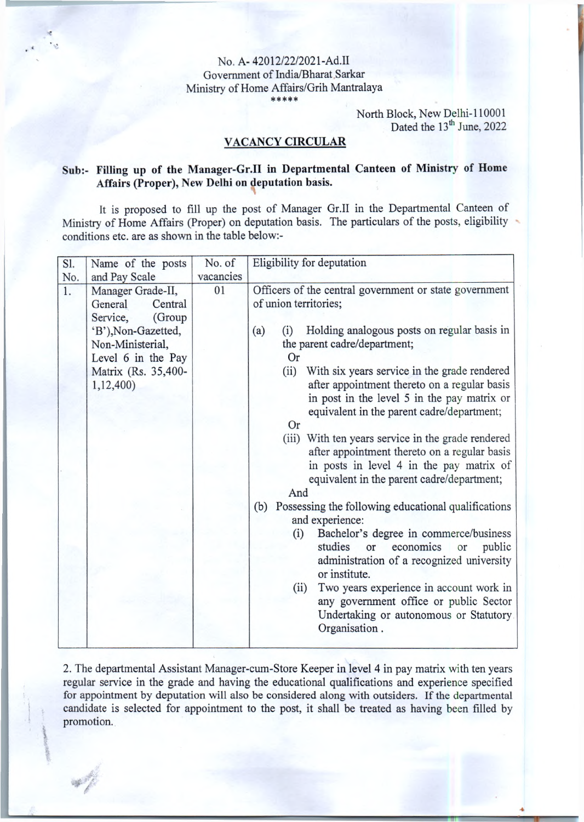#### No. A- 42012/22/2021-Ad.II Government of India/Bharat Sarkar Ministry of Home Affairs/Grih Mantralaya ♦ j|e ♦ ♦ ♦

North Block, New Delhi-110001 Dated the 13<sup>th</sup> June, 2022

# **VACANCY CIRCULAR**

## **Sub:- Filling up of the Manager-Gr.II in Departmental Canteen of Ministry of Home Affairs (Proper), New Delhi on deputation basis.**

It is proposed to fill up the post of Manager Gr.II in the Departmental Canteen of Ministry of Home Affairs (Proper) on deputation basis. The particulars of the posts, eligibility conditions etc. are as shown in the table below:-

| Sl. | Name of the posts                                                                                                                                                  | No. of    | Eligibility for deputation                                                                                                                                                                                                                                                                                                                                                                                                                                                                                                                                                                                                                                                                                                                                                                                                                                                                                                                                                                                      |  |  |
|-----|--------------------------------------------------------------------------------------------------------------------------------------------------------------------|-----------|-----------------------------------------------------------------------------------------------------------------------------------------------------------------------------------------------------------------------------------------------------------------------------------------------------------------------------------------------------------------------------------------------------------------------------------------------------------------------------------------------------------------------------------------------------------------------------------------------------------------------------------------------------------------------------------------------------------------------------------------------------------------------------------------------------------------------------------------------------------------------------------------------------------------------------------------------------------------------------------------------------------------|--|--|
| No. | and Pay Scale                                                                                                                                                      | vacancies |                                                                                                                                                                                                                                                                                                                                                                                                                                                                                                                                                                                                                                                                                                                                                                                                                                                                                                                                                                                                                 |  |  |
| 1.  | Manager Grade-II,<br>General<br>Central<br>Service,<br>(Group<br>'B'), Non-Gazetted,<br>Non-Ministerial,<br>Level 6 in the Pay<br>Matrix (Rs. 35,400-<br>1,12,400) | 01        | Officers of the central government or state government<br>of union territories;<br>Holding analogous posts on regular basis in<br>(a)<br>(i)<br>the parent cadre/department;<br>Or<br>(ii)<br>With six years service in the grade rendered<br>after appointment thereto on a regular basis<br>in post in the level 5 in the pay matrix or<br>equivalent in the parent cadre/department;<br><b>Or</b><br>(iii) With ten years service in the grade rendered<br>after appointment thereto on a regular basis<br>in posts in level 4 in the pay matrix of<br>equivalent in the parent cadre/department;<br>And<br>(b) Possessing the following educational qualifications<br>and experience:<br>Bachelor's degree in commerce/business<br>(i)<br>economics<br>studies<br>public<br>or<br>or<br>administration of a recognized university<br>or institute.<br>Two years experience in account work in<br>(ii)<br>any government office or public Sector<br>Undertaking or autonomous or Statutory.<br>Organisation. |  |  |

2. The departmental Assistant Manager-cum-Store Keeper in level 4 in pay matrix with ten years regular service in the grade and having the educational qualifications and experience specified for appointment by deputation will also be considered along with outsiders. If the departmental candidate is selected for appointment to the post, it shall be treated as having been filled by promotion.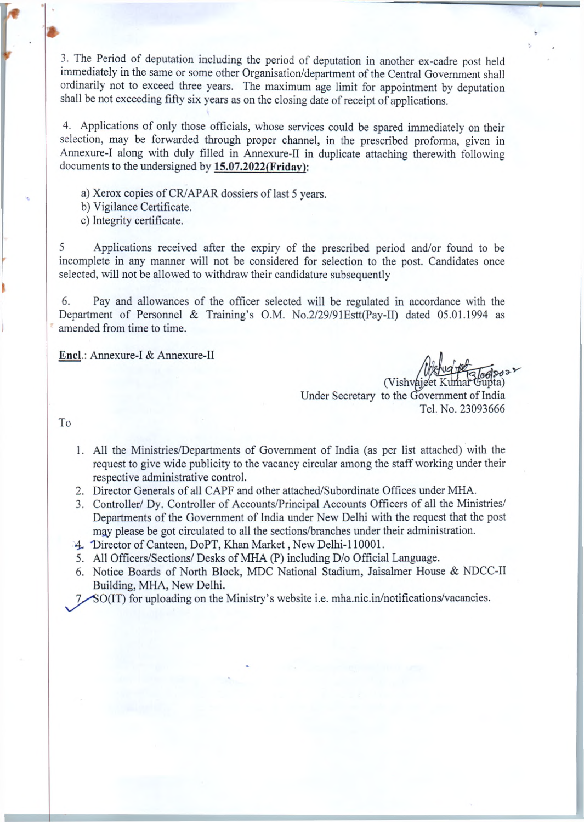3. The Period of deputation including the period of deputation in another ex-cadre post held immediately in the same or some other Organisation/department of the Central Government shall ordinarily not to exceed three years. The maximum age limit for appointment by deputation shall be not exceeding fifty six years as on the closing date of receipt of applications.

4. Applications of only those officials, whose services could be spared immediately on their selection, may be forwarded through proper channel, in the prescribed proforma, given in Annexure-I along with duly filled in Annexure-II in duplicate attaching therewith following documents to the undersigned by **15.07.2022(Friday**):

a) Xerox copies of CR/APAR dossiers of last 5 years.

b) Vigilance Certificate.

c) Integrity certificate.

5 Applications received after the expiry of the prescribed period and/or found to be incomplete in any manner will not be considered for selection to the post. Candidates once selected, will not be allowed to withdraw their candidature subsequently

6. Pay and allowances of the officer selected will be regulated in accordance with the Department of Personnel & Training's O.M. No.2/29/91Estt(Pay-II) dated 05.01.1994 as amended from time to time.

**Enel.:** Annexure-I & Annexure-II

*<i><u>Nishvajget Kumar</u>* Under Secretary to the Government of India Tel. No. 23093666

To

*\**

- 1. All the Ministries/Departments of Government of India (as per list attached) with the request to give wide publicity to the vacancy circular among the staff working under their respective administrative control.
- 2. Director Generals of all CAPF and other attached/Subordinate Offices under MHA.
- 3. Controller/ Dy. Controller of Accounts/Principal Accounts Officers of all the Ministries/ Departments of the Government of India under New Delhi with the request that the post may please be got circulated to all the sections/branches under their administration.

4. Director of Canteen, DoPT, Khan Market, New Delhi-110001.

- 5. All Officers/Sections/ Desks of MHA (P) including D/o Official Language.
- 6. Notice Boards of North Block, MDC National Stadium, Jaisalmer House & NDCC-II Building, MHA, New Delhi.

 $\sim$  SO(IT) for uploading on the Ministry's website i.e. mha.nic.in/notifications/vacancies.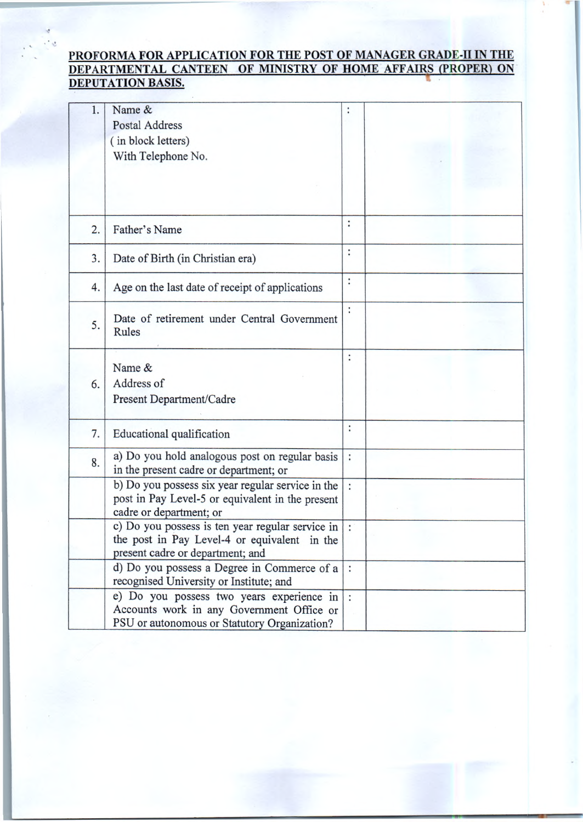#### **PROFORMA FOR APPLICATION FOR THE POST OF MANAGER GRADE-II IN THE DEPARTMENTAL CANTEEN OF MINISTRY OF HOME AFFAIRS (PROPER) ON DEPUTATION BASIS.**

| 1. | Name &<br><b>Postal Address</b><br>(in block letters)<br>With Telephone No.                                                               |                      |  |
|----|-------------------------------------------------------------------------------------------------------------------------------------------|----------------------|--|
| 2. | Father's Name                                                                                                                             | ÷                    |  |
| 3. | Date of Birth (in Christian era)                                                                                                          | :                    |  |
| 4. | Age on the last date of receipt of applications                                                                                           | $\ddot{\cdot}$       |  |
| 5. | Date of retirement under Central Government<br>Rules                                                                                      | :                    |  |
| 6. | Name &<br>Address of<br>Present Department/Cadre                                                                                          | $\ddot{\cdot}$       |  |
| 7. | Educational qualification                                                                                                                 | ÷                    |  |
| 8. | a) Do you hold analogous post on regular basis<br>in the present cadre or department; or                                                  | $\ddot{\phantom{a}}$ |  |
|    | b) Do you possess six year regular service in the<br>post in Pay Level-5 or equivalent in the present<br>cadre or department; or          | $\ddot{\cdot}$       |  |
|    | c) Do you possess is ten year regular service in<br>the post in Pay Level-4 or equivalent in the<br>present cadre or department; and      | $\ddot{\cdot}$       |  |
|    | d) Do you possess a Degree in Commerce of $a$ :<br>recognised University or Institute; and                                                |                      |  |
|    | e) Do you possess two years experience in  :<br>Accounts work in any Government Office or<br>PSU or autonomous or Statutory Organization? |                      |  |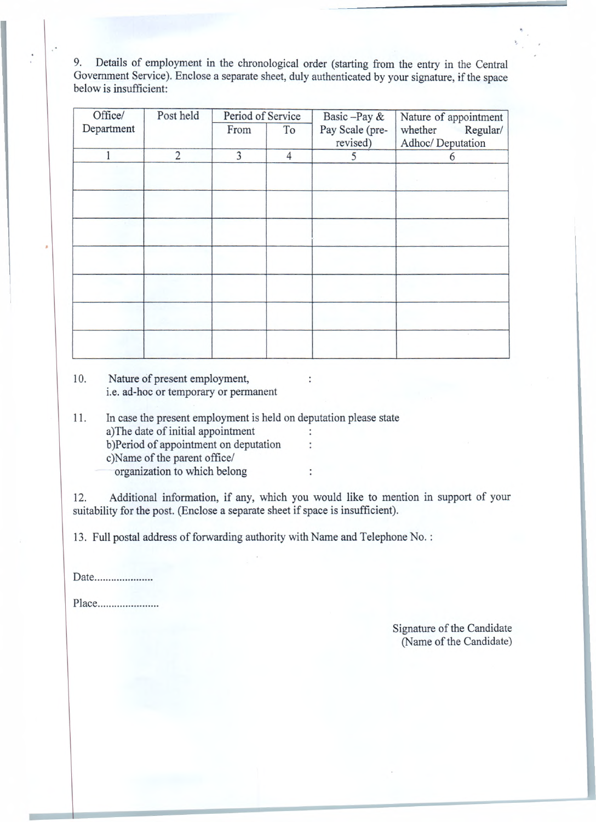9. Details of employment in the chronological order (starting from the entry in the Central Government Service). Enclose a separate sheet, duly authenticated by your signature, if the space below is insufficient:

| Office/    | Post held      | Period of Service |                | Basic-Pay &     | Nature of appointment |  |
|------------|----------------|-------------------|----------------|-----------------|-----------------------|--|
| Department |                | From              | To             | Pay Scale (pre- | whether Regular/      |  |
|            |                |                   |                | revised)        | Adhoc/Deputation      |  |
|            | $\overline{2}$ | $\overline{3}$    | $\overline{4}$ | 5               | 6                     |  |
|            |                |                   |                |                 |                       |  |
|            |                |                   |                |                 |                       |  |
|            |                |                   |                |                 |                       |  |
|            |                |                   |                |                 |                       |  |
|            |                |                   |                |                 |                       |  |
|            |                |                   |                |                 |                       |  |
|            |                |                   |                |                 |                       |  |
|            |                |                   |                |                 |                       |  |
|            |                |                   |                |                 |                       |  |
|            |                |                   |                |                 |                       |  |
|            |                |                   |                |                 |                       |  |
|            |                |                   |                |                 |                       |  |

10. Nature of present employment, i.e. ad-hoc or temporary or permanent

11. In case the present employment is held on deputation please state a) The date of initial appointment b) Period of appointment on deputation c) Name of the parent office/ organization to which belong :

12. Additional information, if any, which you would like to mention in support of your suitability for the post. (Enclose a separate sheet if space is insufficient).

13. Full postal address of forwarding authority with Name and Telephone No.:

Date.....................

Place..........................

Signature of the Candidate (Name of the Candidate)